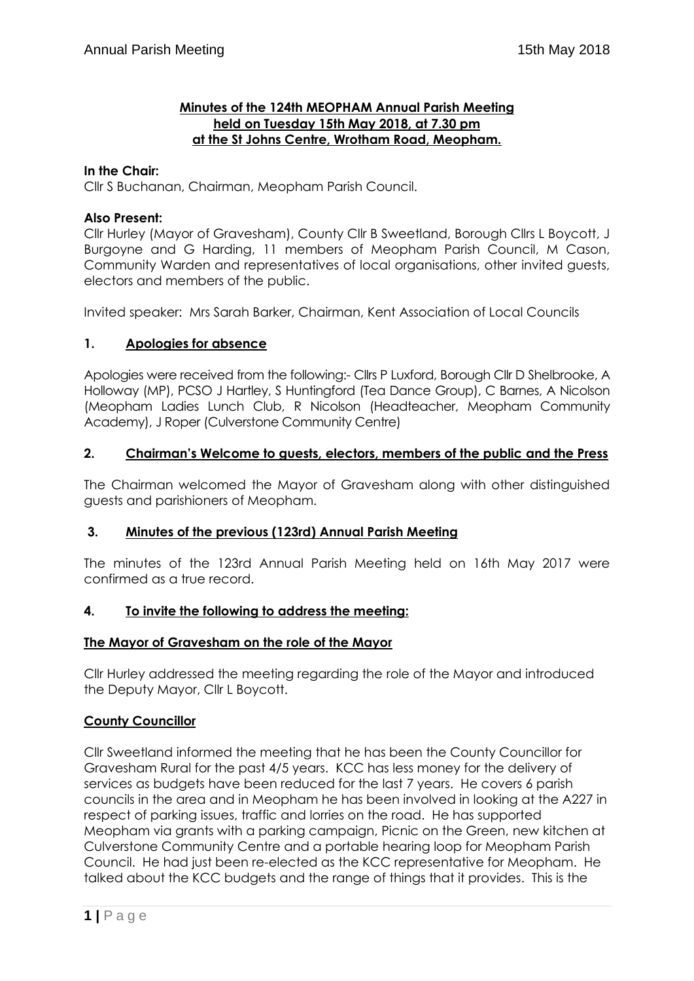## **Minutes of the 124th MEOPHAM Annual Parish Meeting held on Tuesday 15th May 2018, at 7.30 pm at the St Johns Centre, Wrotham Road, Meopham.**

## **In the Chair:**

Cllr S Buchanan, Chairman, Meopham Parish Council.

## **Also Present:**

Cllr Hurley (Mayor of Gravesham), County Cllr B Sweetland, Borough Cllrs L Boycott, J Burgoyne and G Harding, 11 members of Meopham Parish Council, M Cason, Community Warden and representatives of local organisations, other invited guests, electors and members of the public.

Invited speaker: Mrs Sarah Barker, Chairman, Kent Association of Local Councils

## **1. Apologies for absence**

Apologies were received from the following:- Cllrs P Luxford, Borough Cllr D Shelbrooke, A Holloway (MP), PCSO J Hartley, S Huntingford (Tea Dance Group), C Barnes, A Nicolson (Meopham Ladies Lunch Club, R Nicolson (Headteacher, Meopham Community Academy), J Roper (Culverstone Community Centre)

#### **2. Chairman's Welcome to guests, electors, members of the public and the Press**

The Chairman welcomed the Mayor of Gravesham along with other distinguished guests and parishioners of Meopham.

#### **3. Minutes of the previous (123rd) Annual Parish Meeting**

The minutes of the 123rd Annual Parish Meeting held on 16th May 2017 were confirmed as a true record.

#### **4. To invite the following to address the meeting:**

#### **The Mayor of Gravesham on the role of the Mayor**

Cllr Hurley addressed the meeting regarding the role of the Mayor and introduced the Deputy Mayor, Cllr L Boycott.

#### **County Councillor**

Cllr Sweetland informed the meeting that he has been the County Councillor for Gravesham Rural for the past 4/5 years. KCC has less money for the delivery of services as budgets have been reduced for the last 7 years. He covers 6 parish councils in the area and in Meopham he has been involved in looking at the A227 in respect of parking issues, traffic and lorries on the road. He has supported Meopham via grants with a parking campaign, Picnic on the Green, new kitchen at Culverstone Community Centre and a portable hearing loop for Meopham Parish Council. He had just been re-elected as the KCC representative for Meopham. He talked about the KCC budgets and the range of things that it provides. This is the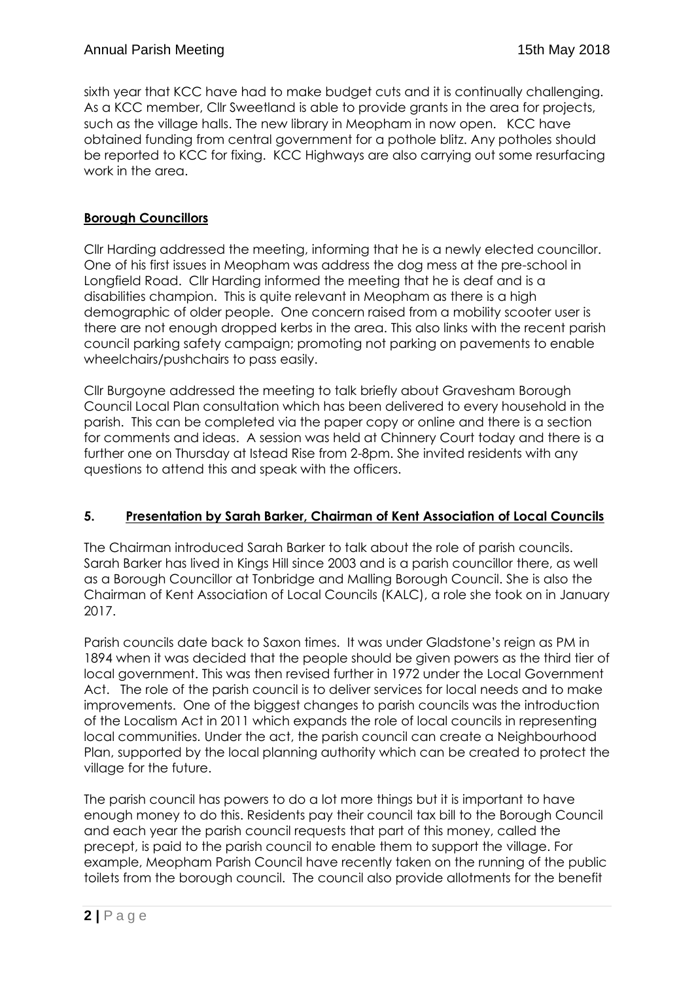sixth year that KCC have had to make budget cuts and it is continually challenging. As a KCC member, Cllr Sweetland is able to provide grants in the area for projects, such as the village halls. The new library in Meopham in now open. KCC have obtained funding from central government for a pothole blitz. Any potholes should be reported to KCC for fixing. KCC Highways are also carrying out some resurfacing work in the area.

# **Borough Councillors**

Cllr Harding addressed the meeting, informing that he is a newly elected councillor. One of his first issues in Meopham was address the dog mess at the pre-school in Longfield Road. Cllr Harding informed the meeting that he is deaf and is a disabilities champion. This is quite relevant in Meopham as there is a high demographic of older people. One concern raised from a mobility scooter user is there are not enough dropped kerbs in the area. This also links with the recent parish council parking safety campaign; promoting not parking on pavements to enable wheelchairs/pushchairs to pass easily.

Cllr Burgoyne addressed the meeting to talk briefly about Gravesham Borough Council Local Plan consultation which has been delivered to every household in the parish. This can be completed via the paper copy or online and there is a section for comments and ideas. A session was held at Chinnery Court today and there is a further one on Thursday at Istead Rise from 2-8pm. She invited residents with any questions to attend this and speak with the officers.

# **5. Presentation by Sarah Barker, Chairman of Kent Association of Local Councils**

The Chairman introduced Sarah Barker to talk about the role of parish councils. Sarah Barker has lived in Kings Hill since 2003 and is a parish councillor there, as well as a Borough Councillor at Tonbridge and Malling Borough Council. She is also the Chairman of Kent Association of Local Councils (KALC), a role she took on in January 2017.

Parish councils date back to Saxon times. It was under Gladstone's reign as PM in 1894 when it was decided that the people should be given powers as the third tier of local government. This was then revised further in 1972 under the Local Government Act. The role of the parish council is to deliver services for local needs and to make improvements. One of the biggest changes to parish councils was the introduction of the Localism Act in 2011 which expands the role of local councils in representing local communities. Under the act, the parish council can create a Neighbourhood Plan, supported by the local planning authority which can be created to protect the village for the future.

The parish council has powers to do a lot more things but it is important to have enough money to do this. Residents pay their council tax bill to the Borough Council and each year the parish council requests that part of this money, called the precept, is paid to the parish council to enable them to support the village. For example, Meopham Parish Council have recently taken on the running of the public toilets from the borough council. The council also provide allotments for the benefit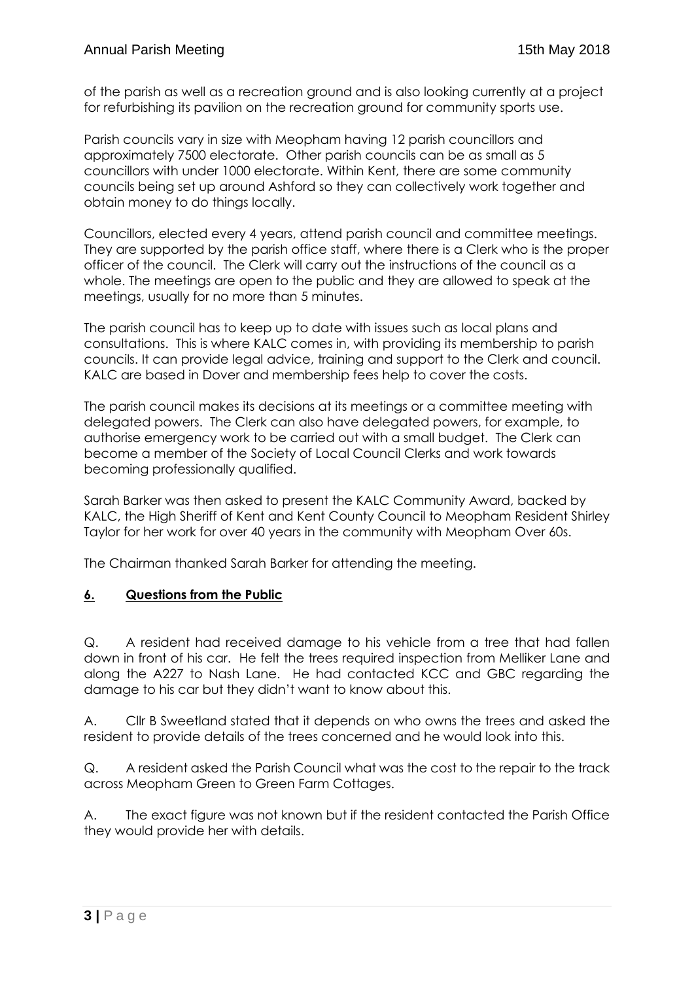of the parish as well as a recreation ground and is also looking currently at a project for refurbishing its pavilion on the recreation ground for community sports use.

Parish councils vary in size with Meopham having 12 parish councillors and approximately 7500 electorate. Other parish councils can be as small as 5 councillors with under 1000 electorate. Within Kent, there are some community councils being set up around Ashford so they can collectively work together and obtain money to do things locally.

Councillors, elected every 4 years, attend parish council and committee meetings. They are supported by the parish office staff, where there is a Clerk who is the proper officer of the council. The Clerk will carry out the instructions of the council as a whole. The meetings are open to the public and they are allowed to speak at the meetings, usually for no more than 5 minutes.

The parish council has to keep up to date with issues such as local plans and consultations. This is where KALC comes in, with providing its membership to parish councils. It can provide legal advice, training and support to the Clerk and council. KALC are based in Dover and membership fees help to cover the costs.

The parish council makes its decisions at its meetings or a committee meeting with delegated powers. The Clerk can also have delegated powers, for example, to authorise emergency work to be carried out with a small budget. The Clerk can become a member of the Society of Local Council Clerks and work towards becoming professionally qualified.

Sarah Barker was then asked to present the KALC Community Award, backed by KALC, the High Sheriff of Kent and Kent County Council to Meopham Resident Shirley Taylor for her work for over 40 years in the community with Meopham Over 60s.

The Chairman thanked Sarah Barker for attending the meeting.

#### **6. Questions from the Public**

Q. A resident had received damage to his vehicle from a tree that had fallen down in front of his car. He felt the trees required inspection from Melliker Lane and along the A227 to Nash Lane. He had contacted KCC and GBC regarding the damage to his car but they didn't want to know about this.

A. Cllr B Sweetland stated that it depends on who owns the trees and asked the resident to provide details of the trees concerned and he would look into this.

Q. A resident asked the Parish Council what was the cost to the repair to the track across Meopham Green to Green Farm Cottages.

A. The exact figure was not known but if the resident contacted the Parish Office they would provide her with details.